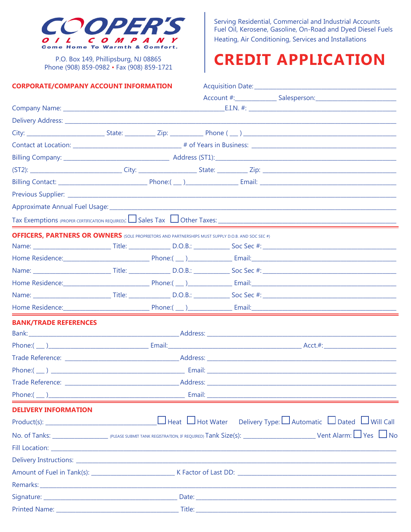

P.O. Box 149, Phillipsburg, NJ 08865 Phone (908) 859-0982 · Fax (908) 859-1721

## **CORPORATE/COMPANY ACCOUNT INFORMATION**

Serving Residential, Commercial and Industrial Accounts Fuel Oil, Kerosene, Gasoline, On-Road and Dyed Diesel Fuels Heating, Air Conditioning, Services and Installations

## **CREDIT APPLICATION**

| <b>CORPORATE/COMPANY ACCOUNT INFORMATION</b>                                                             |  |  |  |                                                                                  |                                                                                                                                                                                                                                                                                                          |  |
|----------------------------------------------------------------------------------------------------------|--|--|--|----------------------------------------------------------------------------------|----------------------------------------------------------------------------------------------------------------------------------------------------------------------------------------------------------------------------------------------------------------------------------------------------------|--|
|                                                                                                          |  |  |  | Account #:_______________________Salesperson:___________________________________ |                                                                                                                                                                                                                                                                                                          |  |
|                                                                                                          |  |  |  |                                                                                  |                                                                                                                                                                                                                                                                                                          |  |
|                                                                                                          |  |  |  |                                                                                  |                                                                                                                                                                                                                                                                                                          |  |
|                                                                                                          |  |  |  |                                                                                  |                                                                                                                                                                                                                                                                                                          |  |
|                                                                                                          |  |  |  |                                                                                  |                                                                                                                                                                                                                                                                                                          |  |
|                                                                                                          |  |  |  |                                                                                  |                                                                                                                                                                                                                                                                                                          |  |
|                                                                                                          |  |  |  |                                                                                  |                                                                                                                                                                                                                                                                                                          |  |
|                                                                                                          |  |  |  |                                                                                  |                                                                                                                                                                                                                                                                                                          |  |
|                                                                                                          |  |  |  |                                                                                  |                                                                                                                                                                                                                                                                                                          |  |
|                                                                                                          |  |  |  |                                                                                  |                                                                                                                                                                                                                                                                                                          |  |
|                                                                                                          |  |  |  |                                                                                  |                                                                                                                                                                                                                                                                                                          |  |
| <b>OFFICERS, PARTNERS OR OWNERS</b> (SOLE PROPRIETORS AND PARTNERSHIPS MUST SUPPLY D.O.B. AND SOC SEC #) |  |  |  |                                                                                  |                                                                                                                                                                                                                                                                                                          |  |
|                                                                                                          |  |  |  |                                                                                  |                                                                                                                                                                                                                                                                                                          |  |
|                                                                                                          |  |  |  |                                                                                  | Home Residence: 2008. [2016] Phone: (2016) 2016. [2016] Phone: (2016) 2016. [2016] Email: 2016. [2016] Email: 2016. [2016] Phone: (2016) 2017. [2016] 2017. [2016] 2017. [2016] 2017. [2016] 2017. [2016] 2017. [2016] 2017. [                                                                           |  |
|                                                                                                          |  |  |  |                                                                                  |                                                                                                                                                                                                                                                                                                          |  |
|                                                                                                          |  |  |  |                                                                                  |                                                                                                                                                                                                                                                                                                          |  |
|                                                                                                          |  |  |  |                                                                                  |                                                                                                                                                                                                                                                                                                          |  |
|                                                                                                          |  |  |  |                                                                                  |                                                                                                                                                                                                                                                                                                          |  |
| <b>BANK/TRADE REFERENCES</b>                                                                             |  |  |  |                                                                                  |                                                                                                                                                                                                                                                                                                          |  |
|                                                                                                          |  |  |  |                                                                                  |                                                                                                                                                                                                                                                                                                          |  |
|                                                                                                          |  |  |  |                                                                                  | $Phone: ($ $)$ $\rule{1em}{0.15mm}$ $\rule{1.15mm}{0.15mm}$ $\rule{1.15mm}{0.15mm}$ $\rule{1.15mm}{0.15mm}$ $\rule{1.15mm}{0.15mm}$ $\rule{1.15mm}{0.15mm}$ $\rule{1.15mm}{0.15mm}$ $\rule{1.15mm}{0.15mm}$ $\rule{1.15mm}{0.15mm}$ $\rule{1.15mm}{0.15mm}$ $\rule{1.15mm}{0.15mm}$ $\rule{1.15mm}{0.15$ |  |
|                                                                                                          |  |  |  |                                                                                  |                                                                                                                                                                                                                                                                                                          |  |
|                                                                                                          |  |  |  |                                                                                  |                                                                                                                                                                                                                                                                                                          |  |
|                                                                                                          |  |  |  |                                                                                  |                                                                                                                                                                                                                                                                                                          |  |
|                                                                                                          |  |  |  |                                                                                  |                                                                                                                                                                                                                                                                                                          |  |
| <b>DELIVERY INFORMATION</b>                                                                              |  |  |  |                                                                                  |                                                                                                                                                                                                                                                                                                          |  |
|                                                                                                          |  |  |  |                                                                                  |                                                                                                                                                                                                                                                                                                          |  |
|                                                                                                          |  |  |  |                                                                                  |                                                                                                                                                                                                                                                                                                          |  |
|                                                                                                          |  |  |  |                                                                                  |                                                                                                                                                                                                                                                                                                          |  |
|                                                                                                          |  |  |  |                                                                                  |                                                                                                                                                                                                                                                                                                          |  |
|                                                                                                          |  |  |  |                                                                                  |                                                                                                                                                                                                                                                                                                          |  |
|                                                                                                          |  |  |  |                                                                                  |                                                                                                                                                                                                                                                                                                          |  |
|                                                                                                          |  |  |  |                                                                                  |                                                                                                                                                                                                                                                                                                          |  |
|                                                                                                          |  |  |  |                                                                                  |                                                                                                                                                                                                                                                                                                          |  |